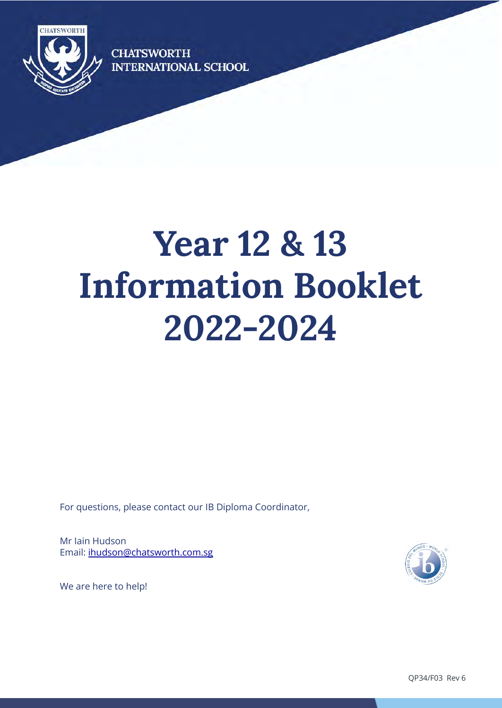

**CHATSWORTH INTERNATIONAL SCHOOL** 

# **Year 12 & 13 Information Booklet 2022-2024**

For questions, please contact our IB Diploma Coordinator,

Mr Iain Hudson Email: [ihudson@chatsworth.com.sg](mailto:hsaxena@chatsworth.com.sg)



We are here to help!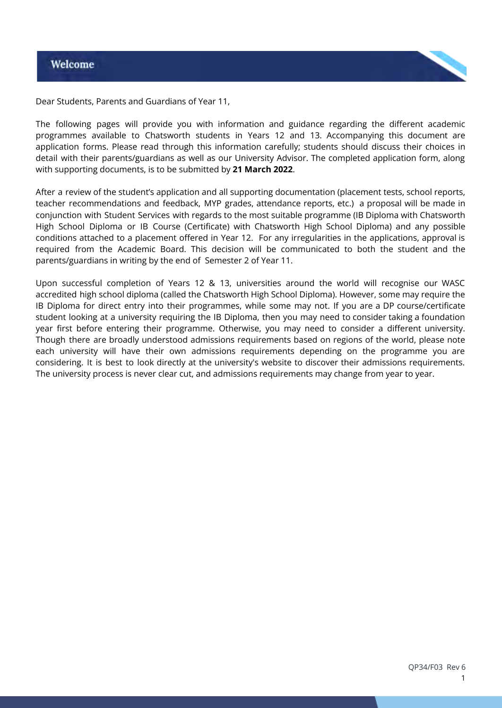

Dear Students, Parents and Guardians of Year 11,

The following pages will provide you with information and guidance regarding the different academic programmes available to Chatsworth students in Years 12 and 13. Accompanying this document are application forms. Please read through this information carefully; students should discuss their choices in detail with their parents/guardians as well as our University Advisor. The completed application form, along with supporting documents, is to be submitted by **21 March 2022**.

After a review of the student's application and all supporting documentation (placement tests, school reports, teacher recommendations and feedback, MYP grades, attendance reports, etc.) a proposal will be made in conjunction with Student Services with regards to the most suitable programme (IB Diploma with Chatsworth High School Diploma or IB Course (Certificate) with Chatsworth High School Diploma) and any possible conditions attached to a placement offered in Year 12. For any irregularities in the applications, approval is required from the Academic Board. This decision will be communicated to both the student and the parents/guardians in writing by the end of Semester 2 of Year 11.

Upon successful completion of Years 12 & 13, universities around the world will recognise our WASC accredited high school diploma (called the Chatsworth High School Diploma). However, some may require the IB Diploma for direct entry into their programmes, while some may not. If you are a DP course/certificate student looking at a university requiring the IB Diploma, then you may need to consider taking a foundation year first before entering their programme. Otherwise, you may need to consider a different university. Though there are broadly understood admissions requirements based on regions of the world, please note each university will have their own admissions requirements depending on the programme you are considering. It is best to look directly at the university's website to discover their admissions requirements. The university process is never clear cut, and admissions requirements may change from year to year.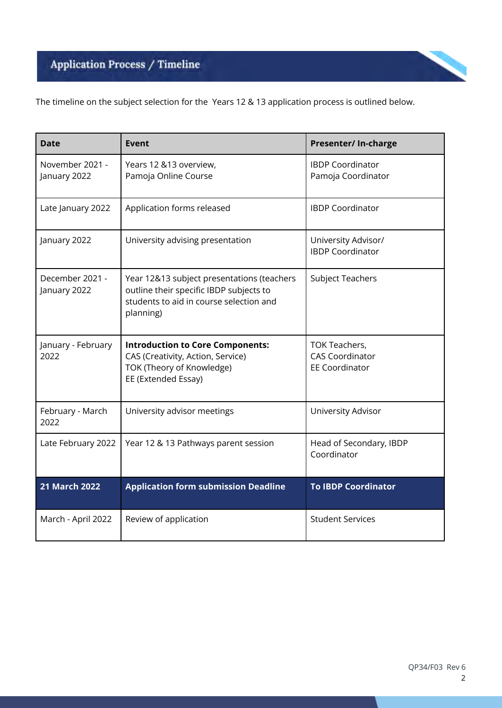# Application Process / Timeline



The timeline on the subject selection for the Years 12 & 13 application process is outlined below.

| <b>Date</b>                     | Event                                                                                                                                         | Presenter/ In-charge                                             |
|---------------------------------|-----------------------------------------------------------------------------------------------------------------------------------------------|------------------------------------------------------------------|
| November 2021 -<br>January 2022 | Years 12 &13 overview,<br>Pamoja Online Course                                                                                                | <b>IBDP Coordinator</b><br>Pamoja Coordinator                    |
| Late January 2022               | Application forms released                                                                                                                    | <b>IBDP Coordinator</b>                                          |
| January 2022                    | University advising presentation                                                                                                              | University Advisor/<br><b>IBDP Coordinator</b>                   |
| December 2021 -<br>January 2022 | Year 12&13 subject presentations (teachers<br>outline their specific IBDP subjects to<br>students to aid in course selection and<br>planning) | <b>Subject Teachers</b>                                          |
| January - February<br>2022      | <b>Introduction to Core Components:</b><br>CAS (Creativity, Action, Service)<br>TOK (Theory of Knowledge)<br>EE (Extended Essay)              | TOK Teachers,<br><b>CAS Coordinator</b><br><b>EE Coordinator</b> |
| February - March<br>2022        | University advisor meetings                                                                                                                   | University Advisor                                               |
| Late February 2022              | Year 12 & 13 Pathways parent session                                                                                                          | Head of Secondary, IBDP<br>Coordinator                           |
| <b>21 March 2022</b>            | <b>Application form submission Deadline</b>                                                                                                   | <b>To IBDP Coordinator</b>                                       |
| March - April 2022              | Review of application                                                                                                                         | <b>Student Services</b>                                          |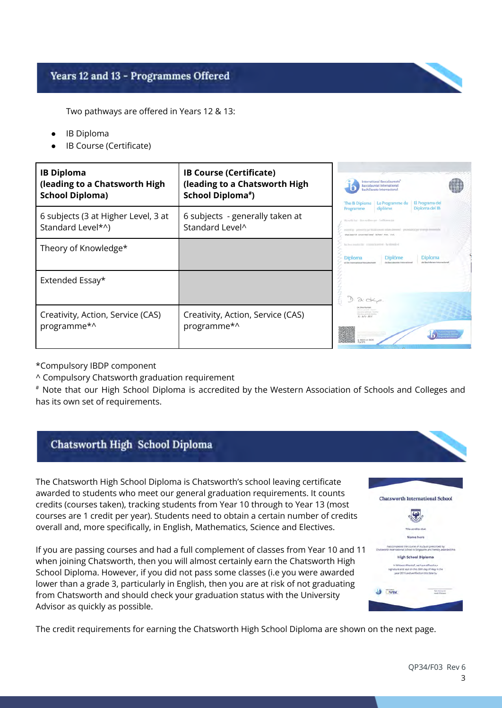# Years 12 and 13 - Programmes Offered

Two pathways are offered in Years 12 & 13:

- **IB Diploma**
- IB Course (Certificate)

| <b>IB Diploma</b><br>(leading to a Chatsworth High<br><b>School Diploma)</b> | <b>IB Course (Certificate)</b><br>(leading to a Chatsworth High<br>School Diploma#) | ali Kar<br>International Baccalaureate<br><b>Baccalauréat International</b><br>Bachillerato Internacional<br>El Programa del<br>The IB Diploma   Le Programme du                                                                                       |
|------------------------------------------------------------------------------|-------------------------------------------------------------------------------------|--------------------------------------------------------------------------------------------------------------------------------------------------------------------------------------------------------------------------------------------------------|
| 6 subjects (3 at Higher Level, 3 at<br>Standard Level*^)                     | 6 subjects - generally taken at<br>Standard Level <sup>^</sup>                      | Diploma del IB<br>diplôme<br>Programme<br>We set the that . How entities are - Certificanse and<br>especial la - polosatri el partitiolitament soluite denomi - preprodubble) par el nitrojo demonistista<br>Chatsuprth International School Pte, Ltd. |
| Theory of Knowledge*                                                         |                                                                                     | has been resembed that it students by powers. It is obstrained as<br><b>Diplôme</b><br>Diploma<br>Diploma<br>del Bachillerato Internacionà<br>of the International Baccalaureate                                                                       |
| Extended Essay*                                                              |                                                                                     |                                                                                                                                                                                                                                                        |
| Creativity, Action, Service (CAS)<br>programme*^                             | Creativity, Action, Service (CAS)<br>programme*^                                    | 11 July 2017                                                                                                                                                                                                                                           |

\*Compulsory IBDP component

^ Compulsory Chatsworth graduation requirement

# Note that our High School Diploma is accredited by the Western Association of Schools and Colleges and has its own set of requirements.

# Chatsworth High School Diploma

The Chatsworth High School Diploma is Chatsworth's school leaving certificate awarded to students who meet our general graduation requirements. It counts credits (courses taken), tracking students from Year 10 through to Year 13 (most courses are 1 credit per year). Students need to obtain a certain number of credits overall and, more specifically, in English, Mathematics, Science and Electives.

If you are passing courses and had a full complement of classes from Year 10 and 11 when joining Chatsworth, then you will almost certainly earn the Chatsworth High School Diploma. However, if you did not pass some classes (i.e you were awarded lower than a grade 3, particularly in English, then you are at risk of not graduating from Chatsworth and should check your graduation status with the University Advisor as quickly as possible.



The credit requirements for earning the Chatsworth High School Diploma are shown on the next page.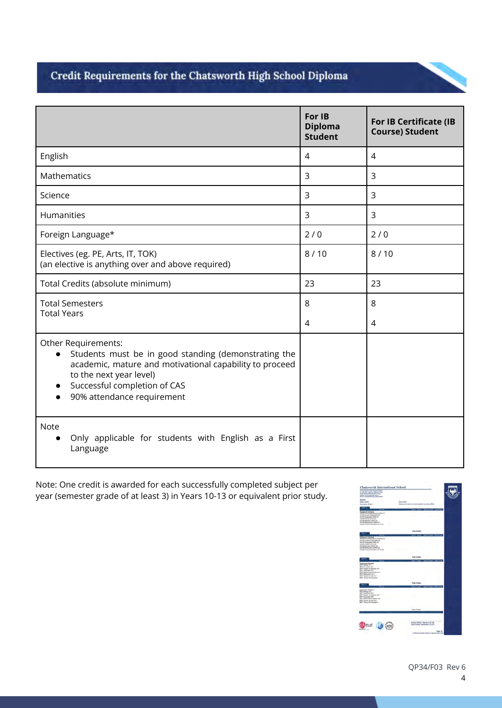# Credit Requirements for the Chatsworth High School Diploma

|                                                                                                                                                                                                                                 | For IB<br><b>Diploma</b><br><b>Student</b> | <b>For IB Certificate (IB</b><br><b>Course) Student</b> |
|---------------------------------------------------------------------------------------------------------------------------------------------------------------------------------------------------------------------------------|--------------------------------------------|---------------------------------------------------------|
| English                                                                                                                                                                                                                         | $\overline{4}$                             | $\overline{4}$                                          |
| Mathematics                                                                                                                                                                                                                     | $\overline{3}$                             | 3                                                       |
| Science                                                                                                                                                                                                                         | 3                                          | 3                                                       |
| Humanities                                                                                                                                                                                                                      | 3                                          | 3                                                       |
| Foreign Language*                                                                                                                                                                                                               | 2/0                                        | 2/0                                                     |
| Electives (eg. PE, Arts, IT, TOK)<br>(an elective is anything over and above required)                                                                                                                                          | 8/10                                       | 8/10                                                    |
| Total Credits (absolute minimum)                                                                                                                                                                                                | 23                                         | 23                                                      |
| <b>Total Semesters</b><br><b>Total Years</b>                                                                                                                                                                                    | 8                                          | 8                                                       |
|                                                                                                                                                                                                                                 | 4                                          | 4                                                       |
| Other Requirements:<br>Students must be in good standing (demonstrating the<br>academic, mature and motivational capability to proceed<br>to the next year level)<br>Successful completion of CAS<br>90% attendance requirement |                                            |                                                         |
| <b>Note</b><br>Only applicable for students with English as a First<br>Language                                                                                                                                                 |                                            |                                                         |

Note: One credit is awarded for each successfully completed subject per year (semester grade of at least 3) in Years 10-13 or equivalent prior study.

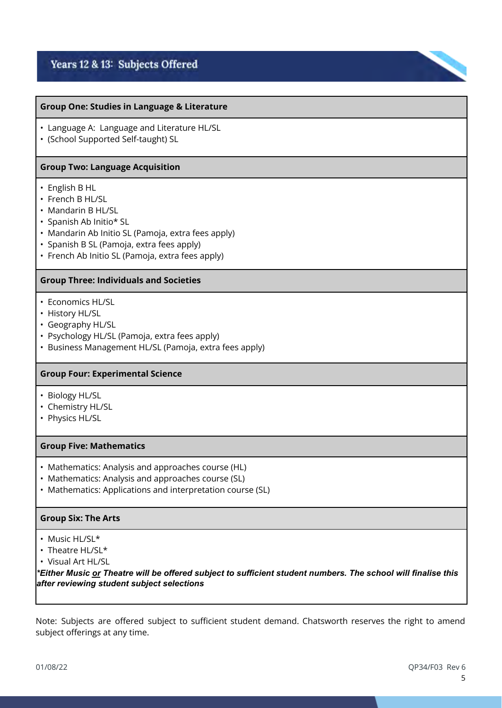# Years 12 & 13: Subjects Offered

## **Group One: Studies in Language & Literature**

- Language A: Language and Literature HL/SL
- (School Supported Self-taught) SL

#### **Group Two: Language Acquisition**

- English B HL
- French B HL/SL
- Mandarin B HL/SL
- Spanish Ab Initio\* SL
- Mandarin Ab Initio SL (Pamoja, extra fees apply)
- Spanish B SL (Pamoja, extra fees apply)
- French Ab Initio SL (Pamoja, extra fees apply)

### **Group Three: Individuals and Societies**

- Economics HL/SL
- History HL/SL
- Geography HL/SL
- Psychology HL/SL (Pamoja, extra fees apply)
- Business Management HL/SL (Pamoja, extra fees apply)

## **Group Four: Experimental Science**

- Biology HL/SL
- Chemistry HL/SL
- Physics HL/SL

#### **Group Five: Mathematics**

- Mathematics: Analysis and approaches course (HL)
- Mathematics: Analysis and approaches course (SL)
- Mathematics: Applications and interpretation course (SL)

### **Group Six: The Arts**

- Music HL/SL\*
- Theatre HL/SL\*
- Visual Art HL/SL

*\*Either Music or Theatre will be offered subject to sufficient student numbers. The school will finalise this after reviewing student subject selections*

Note: Subjects are offered subject to sufficient student demand. Chatsworth reserves the right to amend subject offerings at any time.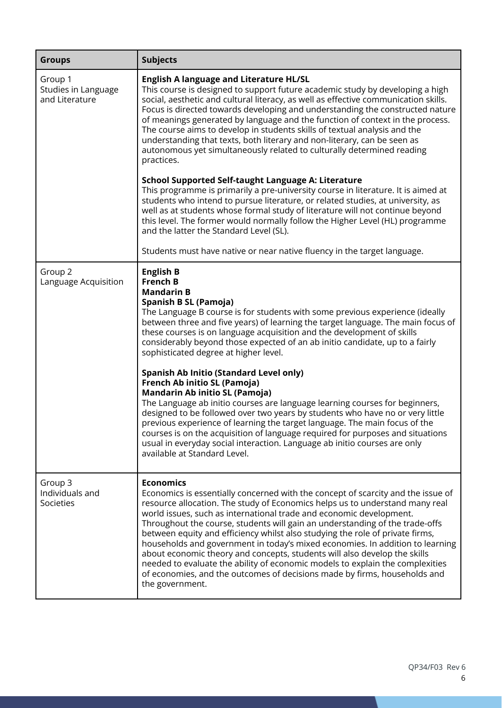| <b>Groups</b>                                    | <b>Subjects</b>                                                                                                                                                                                                                                                                                                                                                                                                                                                                                                                                                                                                                                                                                                                                                                                                                                                                                                                                                                                                                  |
|--------------------------------------------------|----------------------------------------------------------------------------------------------------------------------------------------------------------------------------------------------------------------------------------------------------------------------------------------------------------------------------------------------------------------------------------------------------------------------------------------------------------------------------------------------------------------------------------------------------------------------------------------------------------------------------------------------------------------------------------------------------------------------------------------------------------------------------------------------------------------------------------------------------------------------------------------------------------------------------------------------------------------------------------------------------------------------------------|
| Group 1<br>Studies in Language<br>and Literature | <b>English A language and Literature HL/SL</b><br>This course is designed to support future academic study by developing a high<br>social, aesthetic and cultural literacy, as well as effective communication skills.<br>Focus is directed towards developing and understanding the constructed nature<br>of meanings generated by language and the function of context in the process.<br>The course aims to develop in students skills of textual analysis and the<br>understanding that texts, both literary and non-literary, can be seen as<br>autonomous yet simultaneously related to culturally determined reading<br>practices.                                                                                                                                                                                                                                                                                                                                                                                        |
|                                                  | School Supported Self-taught Language A: Literature<br>This programme is primarily a pre-university course in literature. It is aimed at<br>students who intend to pursue literature, or related studies, at university, as<br>well as at students whose formal study of literature will not continue beyond<br>this level. The former would normally follow the Higher Level (HL) programme<br>and the latter the Standard Level (SL).                                                                                                                                                                                                                                                                                                                                                                                                                                                                                                                                                                                          |
|                                                  | Students must have native or near native fluency in the target language.                                                                                                                                                                                                                                                                                                                                                                                                                                                                                                                                                                                                                                                                                                                                                                                                                                                                                                                                                         |
| Group <sub>2</sub><br>Language Acquisition       | <b>English B</b><br><b>French B</b><br><b>Mandarin B</b><br>Spanish B SL (Pamoja)<br>The Language B course is for students with some previous experience (ideally<br>between three and five years) of learning the target language. The main focus of<br>these courses is on language acquisition and the development of skills<br>considerably beyond those expected of an ab initio candidate, up to a fairly<br>sophisticated degree at higher level.<br><b>Spanish Ab Initio (Standard Level only)</b><br>French Ab initio SL (Pamoja)<br><b>Mandarin Ab initio SL (Pamoja)</b><br>The Language ab initio courses are language learning courses for beginners,<br>designed to be followed over two years by students who have no or very little<br>previous experience of learning the target language. The main focus of the<br>courses is on the acquisition of language required for purposes and situations<br>usual in everyday social interaction. Language ab initio courses are only<br>available at Standard Level. |
| Group 3<br>Individuals and<br>Societies          | <b>Economics</b><br>Economics is essentially concerned with the concept of scarcity and the issue of<br>resource allocation. The study of Economics helps us to understand many real<br>world issues, such as international trade and economic development.<br>Throughout the course, students will gain an understanding of the trade-offs<br>between equity and efficiency whilst also studying the role of private firms,<br>households and government in today's mixed economies. In addition to learning<br>about economic theory and concepts, students will also develop the skills<br>needed to evaluate the ability of economic models to explain the complexities<br>of economies, and the outcomes of decisions made by firms, households and<br>the government.                                                                                                                                                                                                                                                      |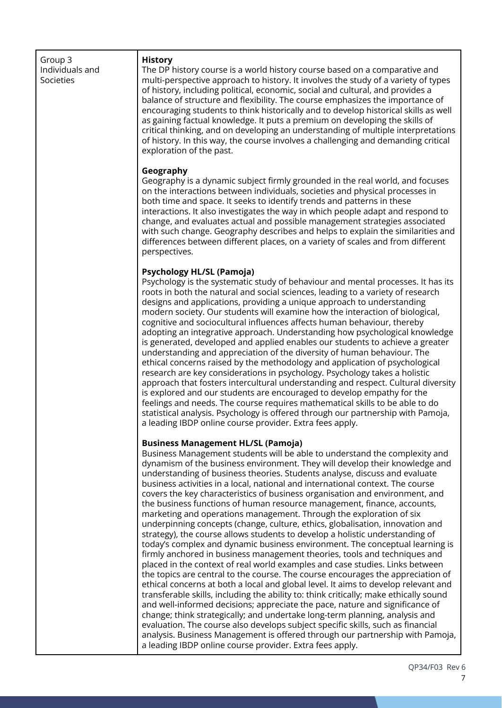| Group 3<br>Individuals and<br>Societies | <b>History</b><br>The DP history course is a world history course based on a comparative and<br>multi-perspective approach to history. It involves the study of a variety of types<br>of history, including political, economic, social and cultural, and provides a<br>balance of structure and flexibility. The course emphasizes the importance of<br>encouraging students to think historically and to develop historical skills as well<br>as gaining factual knowledge. It puts a premium on developing the skills of<br>critical thinking, and on developing an understanding of multiple interpretations<br>of history. In this way, the course involves a challenging and demanding critical<br>exploration of the past.                                                                                                                                                                                                                                                                                                                                                                                                                                                                                                                                                                                                                                                                                                                                                                                                                                                                                                                                                       |
|-----------------------------------------|-----------------------------------------------------------------------------------------------------------------------------------------------------------------------------------------------------------------------------------------------------------------------------------------------------------------------------------------------------------------------------------------------------------------------------------------------------------------------------------------------------------------------------------------------------------------------------------------------------------------------------------------------------------------------------------------------------------------------------------------------------------------------------------------------------------------------------------------------------------------------------------------------------------------------------------------------------------------------------------------------------------------------------------------------------------------------------------------------------------------------------------------------------------------------------------------------------------------------------------------------------------------------------------------------------------------------------------------------------------------------------------------------------------------------------------------------------------------------------------------------------------------------------------------------------------------------------------------------------------------------------------------------------------------------------------------|
|                                         | Geography<br>Geography is a dynamic subject firmly grounded in the real world, and focuses<br>on the interactions between individuals, societies and physical processes in<br>both time and space. It seeks to identify trends and patterns in these<br>interactions. It also investigates the way in which people adapt and respond to<br>change, and evaluates actual and possible management strategies associated<br>with such change. Geography describes and helps to explain the similarities and<br>differences between different places, on a variety of scales and from different<br>perspectives.                                                                                                                                                                                                                                                                                                                                                                                                                                                                                                                                                                                                                                                                                                                                                                                                                                                                                                                                                                                                                                                                            |
|                                         | <b>Psychology HL/SL (Pamoja)</b><br>Psychology is the systematic study of behaviour and mental processes. It has its<br>roots in both the natural and social sciences, leading to a variety of research<br>designs and applications, providing a unique approach to understanding<br>modern society. Our students will examine how the interaction of biological,<br>cognitive and sociocultural influences affects human behaviour, thereby<br>adopting an integrative approach. Understanding how psychological knowledge<br>is generated, developed and applied enables our students to achieve a greater<br>understanding and appreciation of the diversity of human behaviour. The<br>ethical concerns raised by the methodology and application of psychological<br>research are key considerations in psychology. Psychology takes a holistic<br>approach that fosters intercultural understanding and respect. Cultural diversity<br>is explored and our students are encouraged to develop empathy for the<br>feelings and needs. The course requires mathematical skills to be able to do<br>statistical analysis. Psychology is offered through our partnership with Pamoja,<br>a leading IBDP online course provider. Extra fees apply.                                                                                                                                                                                                                                                                                                                                                                                                                                     |
|                                         | <b>Business Management HL/SL (Pamoja)</b><br>Business Management students will be able to understand the complexity and<br>dynamism of the business environment. They will develop their knowledge and<br>understanding of business theories. Students analyse, discuss and evaluate<br>business activities in a local, national and international context. The course<br>covers the key characteristics of business organisation and environment, and<br>the business functions of human resource management, finance, accounts,<br>marketing and operations management. Through the exploration of six<br>underpinning concepts (change, culture, ethics, globalisation, innovation and<br>strategy), the course allows students to develop a holistic understanding of<br>today's complex and dynamic business environment. The conceptual learning is<br>firmly anchored in business management theories, tools and techniques and<br>placed in the context of real world examples and case studies. Links between<br>the topics are central to the course. The course encourages the appreciation of<br>ethical concerns at both a local and global level. It aims to develop relevant and<br>transferable skills, including the ability to: think critically; make ethically sound<br>and well-informed decisions; appreciate the pace, nature and significance of<br>change; think strategically; and undertake long-term planning, analysis and<br>evaluation. The course also develops subject specific skills, such as financial<br>analysis. Business Management is offered through our partnership with Pamoja,<br>a leading IBDP online course provider. Extra fees apply. |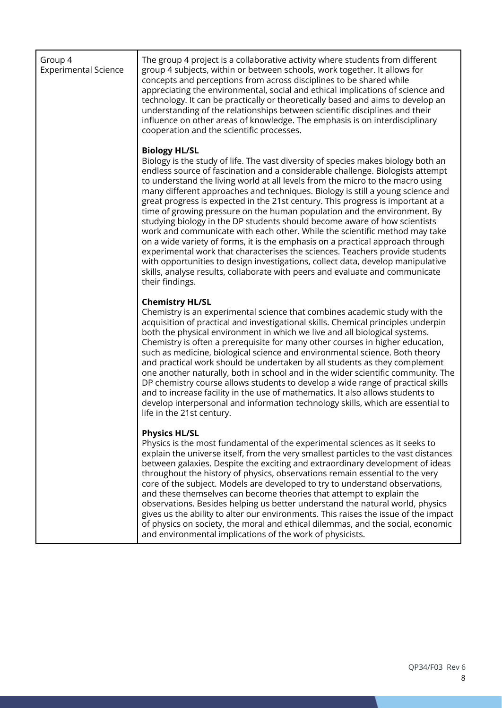| Group 4<br><b>Experimental Science</b> | The group 4 project is a collaborative activity where students from different<br>group 4 subjects, within or between schools, work together. It allows for<br>concepts and perceptions from across disciplines to be shared while<br>appreciating the environmental, social and ethical implications of science and<br>technology. It can be practically or theoretically based and aims to develop an<br>understanding of the relationships between scientific disciplines and their<br>influence on other areas of knowledge. The emphasis is on interdisciplinary<br>cooperation and the scientific processes.                                                                                                                                                                                                                                                                                                                                                                                                                                 |
|----------------------------------------|---------------------------------------------------------------------------------------------------------------------------------------------------------------------------------------------------------------------------------------------------------------------------------------------------------------------------------------------------------------------------------------------------------------------------------------------------------------------------------------------------------------------------------------------------------------------------------------------------------------------------------------------------------------------------------------------------------------------------------------------------------------------------------------------------------------------------------------------------------------------------------------------------------------------------------------------------------------------------------------------------------------------------------------------------|
|                                        | <b>Biology HL/SL</b><br>Biology is the study of life. The vast diversity of species makes biology both an<br>endless source of fascination and a considerable challenge. Biologists attempt<br>to understand the living world at all levels from the micro to the macro using<br>many different approaches and techniques. Biology is still a young science and<br>great progress is expected in the 21st century. This progress is important at a<br>time of growing pressure on the human population and the environment. By<br>studying biology in the DP students should become aware of how scientists<br>work and communicate with each other. While the scientific method may take<br>on a wide variety of forms, it is the emphasis on a practical approach through<br>experimental work that characterises the sciences. Teachers provide students<br>with opportunities to design investigations, collect data, develop manipulative<br>skills, analyse results, collaborate with peers and evaluate and communicate<br>their findings. |
|                                        | <b>Chemistry HL/SL</b><br>Chemistry is an experimental science that combines academic study with the<br>acquisition of practical and investigational skills. Chemical principles underpin<br>both the physical environment in which we live and all biological systems.<br>Chemistry is often a prerequisite for many other courses in higher education,<br>such as medicine, biological science and environmental science. Both theory<br>and practical work should be undertaken by all students as they complement<br>one another naturally, both in school and in the wider scientific community. The<br>DP chemistry course allows students to develop a wide range of practical skills<br>and to increase facility in the use of mathematics. It also allows students to<br>develop interpersonal and information technology skills, which are essential to<br>life in the 21st century.                                                                                                                                                    |
|                                        | <b>Physics HL/SL</b><br>Physics is the most fundamental of the experimental sciences as it seeks to<br>explain the universe itself, from the very smallest particles to the vast distances<br>between galaxies. Despite the exciting and extraordinary development of ideas<br>throughout the history of physics, observations remain essential to the very<br>core of the subject. Models are developed to try to understand observations,<br>and these themselves can become theories that attempt to explain the<br>observations. Besides helping us better understand the natural world, physics<br>gives us the ability to alter our environments. This raises the issue of the impact<br>of physics on society, the moral and ethical dilemmas, and the social, economic<br>and environmental implications of the work of physicists.                                                                                                                                                                                                       |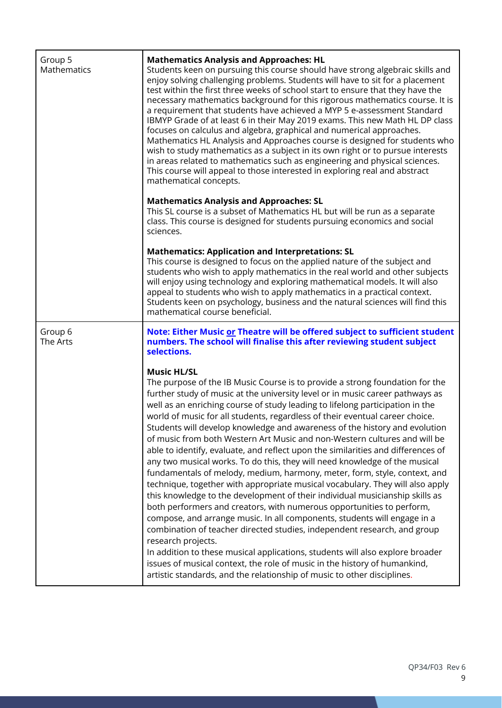| Group 5<br>Mathematics | <b>Mathematics Analysis and Approaches: HL</b><br>Students keen on pursuing this course should have strong algebraic skills and<br>enjoy solving challenging problems. Students will have to sit for a placement<br>test within the first three weeks of school start to ensure that they have the<br>necessary mathematics background for this rigorous mathematics course. It is<br>a requirement that students have achieved a MYP 5 e-assessment Standard<br>IBMYP Grade of at least 6 in their May 2019 exams. This new Math HL DP class<br>focuses on calculus and algebra, graphical and numerical approaches.<br>Mathematics HL Analysis and Approaches course is designed for students who<br>wish to study mathematics as a subject in its own right or to pursue interests<br>in areas related to mathematics such as engineering and physical sciences.<br>This course will appeal to those interested in exploring real and abstract<br>mathematical concepts.                                                                                                                                                                                                                                                                                                                                                                                                                                                     |
|------------------------|---------------------------------------------------------------------------------------------------------------------------------------------------------------------------------------------------------------------------------------------------------------------------------------------------------------------------------------------------------------------------------------------------------------------------------------------------------------------------------------------------------------------------------------------------------------------------------------------------------------------------------------------------------------------------------------------------------------------------------------------------------------------------------------------------------------------------------------------------------------------------------------------------------------------------------------------------------------------------------------------------------------------------------------------------------------------------------------------------------------------------------------------------------------------------------------------------------------------------------------------------------------------------------------------------------------------------------------------------------------------------------------------------------------------------------|
|                        | <b>Mathematics Analysis and Approaches: SL</b><br>This SL course is a subset of Mathematics HL but will be run as a separate<br>class. This course is designed for students pursuing economics and social<br>sciences.                                                                                                                                                                                                                                                                                                                                                                                                                                                                                                                                                                                                                                                                                                                                                                                                                                                                                                                                                                                                                                                                                                                                                                                                          |
|                        | <b>Mathematics: Application and Interpretations: SL</b><br>This course is designed to focus on the applied nature of the subject and<br>students who wish to apply mathematics in the real world and other subjects<br>will enjoy using technology and exploring mathematical models. It will also<br>appeal to students who wish to apply mathematics in a practical context.<br>Students keen on psychology, business and the natural sciences will find this<br>mathematical course beneficial.                                                                                                                                                                                                                                                                                                                                                                                                                                                                                                                                                                                                                                                                                                                                                                                                                                                                                                                              |
| Group 6<br>The Arts    | Note: Either Music or Theatre will be offered subject to sufficient student<br>numbers. The school will finalise this after reviewing student subject<br>selections.                                                                                                                                                                                                                                                                                                                                                                                                                                                                                                                                                                                                                                                                                                                                                                                                                                                                                                                                                                                                                                                                                                                                                                                                                                                            |
|                        | <b>Music HL/SL</b><br>The purpose of the IB Music Course is to provide a strong foundation for the<br>further study of music at the university level or in music career pathways as<br>well as an enriching course of study leading to lifelong participation in the<br>world of music for all students, regardless of their eventual career choice.<br>Students will develop knowledge and awareness of the history and evolution<br>of music from both Western Art Music and non-Western cultures and will be<br>able to identify, evaluate, and reflect upon the similarities and differences of<br>any two musical works. To do this, they will need knowledge of the musical<br>fundamentals of melody, medium, harmony, meter, form, style, context, and<br>technique, together with appropriate musical vocabulary. They will also apply<br>this knowledge to the development of their individual musicianship skills as<br>both performers and creators, with numerous opportunities to perform,<br>compose, and arrange music. In all components, students will engage in a<br>combination of teacher directed studies, independent research, and group<br>research projects.<br>In addition to these musical applications, students will also explore broader<br>issues of musical context, the role of music in the history of humankind,<br>artistic standards, and the relationship of music to other disciplines. |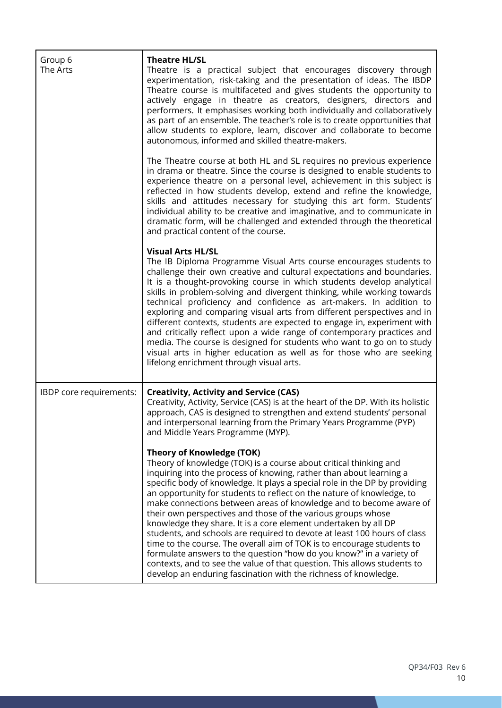| Group 6<br>The Arts     | <b>Theatre HL/SL</b><br>Theatre is a practical subject that encourages discovery through<br>experimentation, risk-taking and the presentation of ideas. The IBDP<br>Theatre course is multifaceted and gives students the opportunity to<br>actively engage in theatre as creators, designers, directors and<br>performers. It emphasises working both individually and collaboratively<br>as part of an ensemble. The teacher's role is to create opportunities that<br>allow students to explore, learn, discover and collaborate to become<br>autonomous, informed and skilled theatre-makers.                                                                                                                                                                                                                                                                                                                         |
|-------------------------|---------------------------------------------------------------------------------------------------------------------------------------------------------------------------------------------------------------------------------------------------------------------------------------------------------------------------------------------------------------------------------------------------------------------------------------------------------------------------------------------------------------------------------------------------------------------------------------------------------------------------------------------------------------------------------------------------------------------------------------------------------------------------------------------------------------------------------------------------------------------------------------------------------------------------|
|                         | The Theatre course at both HL and SL requires no previous experience<br>in drama or theatre. Since the course is designed to enable students to<br>experience theatre on a personal level, achievement in this subject is<br>reflected in how students develop, extend and refine the knowledge,<br>skills and attitudes necessary for studying this art form. Students'<br>individual ability to be creative and imaginative, and to communicate in<br>dramatic form, will be challenged and extended through the theoretical<br>and practical content of the course.                                                                                                                                                                                                                                                                                                                                                    |
|                         | <b>Visual Arts HL/SL</b><br>The IB Diploma Programme Visual Arts course encourages students to<br>challenge their own creative and cultural expectations and boundaries.<br>It is a thought-provoking course in which students develop analytical<br>skills in problem-solving and divergent thinking, while working towards<br>technical proficiency and confidence as art-makers. In addition to<br>exploring and comparing visual arts from different perspectives and in<br>different contexts, students are expected to engage in, experiment with<br>and critically reflect upon a wide range of contemporary practices and<br>media. The course is designed for students who want to go on to study<br>visual arts in higher education as well as for those who are seeking<br>lifelong enrichment through visual arts.                                                                                            |
| IBDP core requirements: | <b>Creativity, Activity and Service (CAS)</b><br>Creativity, Activity, Service (CAS) is at the heart of the DP. With its holistic<br>approach, CAS is designed to strengthen and extend students' personal<br>and interpersonal learning from the Primary Years Programme (PYP)<br>and Middle Years Programme (MYP).                                                                                                                                                                                                                                                                                                                                                                                                                                                                                                                                                                                                      |
|                         | <b>Theory of Knowledge (TOK)</b><br>Theory of knowledge (TOK) is a course about critical thinking and<br>inquiring into the process of knowing, rather than about learning a<br>specific body of knowledge. It plays a special role in the DP by providing<br>an opportunity for students to reflect on the nature of knowledge, to<br>make connections between areas of knowledge and to become aware of<br>their own perspectives and those of the various groups whose<br>knowledge they share. It is a core element undertaken by all DP<br>students, and schools are required to devote at least 100 hours of class<br>time to the course. The overall aim of TOK is to encourage students to<br>formulate answers to the question "how do you know?" in a variety of<br>contexts, and to see the value of that question. This allows students to<br>develop an enduring fascination with the richness of knowledge. |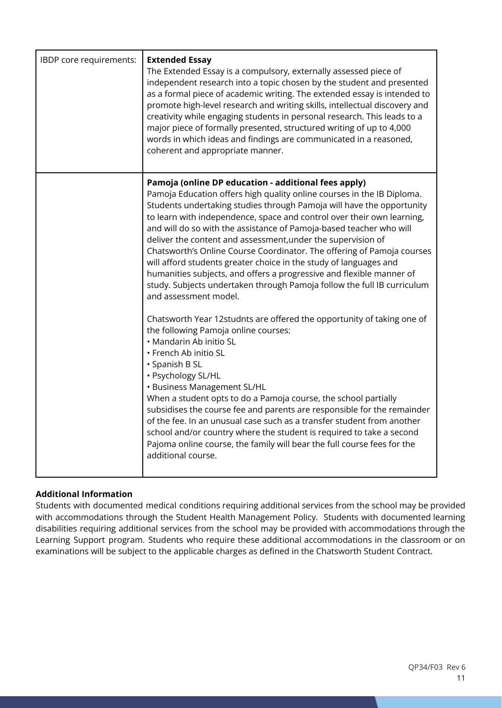| IBDP core requirements: | <b>Extended Essay</b><br>The Extended Essay is a compulsory, externally assessed piece of<br>independent research into a topic chosen by the student and presented<br>as a formal piece of academic writing. The extended essay is intended to<br>promote high-level research and writing skills, intellectual discovery and<br>creativity while engaging students in personal research. This leads to a<br>major piece of formally presented, structured writing of up to 4,000<br>words in which ideas and findings are communicated in a reasoned,<br>coherent and appropriate manner.                                                                                                                                                                                                                                                                                                                                                                                                                                                                                                                                                                                                                                                                                                                                                                                                         |
|-------------------------|---------------------------------------------------------------------------------------------------------------------------------------------------------------------------------------------------------------------------------------------------------------------------------------------------------------------------------------------------------------------------------------------------------------------------------------------------------------------------------------------------------------------------------------------------------------------------------------------------------------------------------------------------------------------------------------------------------------------------------------------------------------------------------------------------------------------------------------------------------------------------------------------------------------------------------------------------------------------------------------------------------------------------------------------------------------------------------------------------------------------------------------------------------------------------------------------------------------------------------------------------------------------------------------------------------------------------------------------------------------------------------------------------|
|                         | Pamoja (online DP education - additional fees apply)<br>Pamoja Education offers high quality online courses in the IB Diploma.<br>Students undertaking studies through Pamoja will have the opportunity<br>to learn with independence, space and control over their own learning,<br>and will do so with the assistance of Pamoja-based teacher who will<br>deliver the content and assessment, under the supervision of<br>Chatsworth's Online Course Coordinator. The offering of Pamoja courses<br>will afford students greater choice in the study of languages and<br>humanities subjects, and offers a progressive and flexible manner of<br>study. Subjects undertaken through Pamoja follow the full IB curriculum<br>and assessment model.<br>Chatsworth Year 12studnts are offered the opportunity of taking one of<br>the following Pamoja online courses:<br>• Mandarin Ab initio SL<br>• French Ab initio SL<br>· Spanish B SL<br>· Psychology SL/HL<br>• Business Management SL/HL<br>When a student opts to do a Pamoja course, the school partially<br>subsidises the course fee and parents are responsible for the remainder<br>of the fee. In an unusual case such as a transfer student from another<br>school and/or country where the student is required to take a second<br>Pajoma online course, the family will bear the full course fees for the<br>additional course. |

# **Additional Information**

Students with documented medical conditions requiring additional services from the school may be provided with accommodations through the Student Health Management Policy. Students with documented learning disabilities requiring additional services from the school may be provided with accommodations through the Learning Support program. Students who require these additional accommodations in the classroom or on examinations will be subject to the applicable charges as defined in the Chatsworth Student Contract.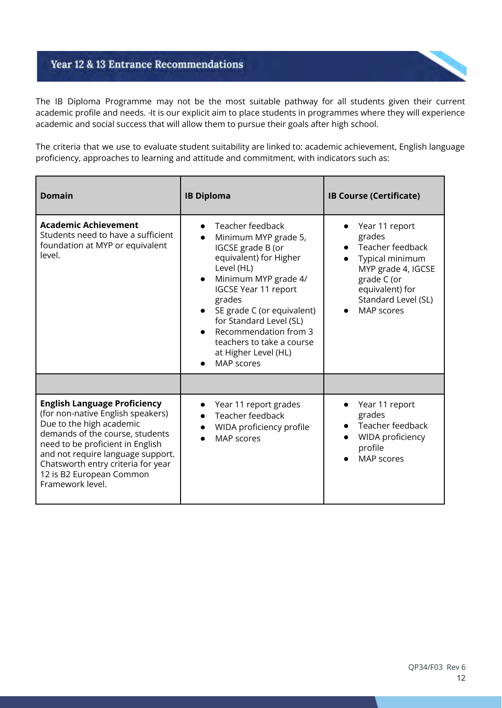# **Year 12 & 13 Entrance Recommendations**

The IB Diploma Programme may not be the most suitable pathway for all students given their current academic profile and needs. It is our explicit aim to place students in programmes where they will experience academic and social success that will allow them to pursue their goals after high school.

The criteria that we use to evaluate student suitability are linked to: academic achievement, English language proficiency, approaches to learning and attitude and commitment, with indicators such as:

| <b>Domain</b>                                                                                                                                                                                                                                                                                          | <b>IB Diploma</b>                                                                                                                                                                                                                                                                                                                        | <b>IB Course (Certificate)</b>                                                                                                                                      |
|--------------------------------------------------------------------------------------------------------------------------------------------------------------------------------------------------------------------------------------------------------------------------------------------------------|------------------------------------------------------------------------------------------------------------------------------------------------------------------------------------------------------------------------------------------------------------------------------------------------------------------------------------------|---------------------------------------------------------------------------------------------------------------------------------------------------------------------|
| <b>Academic Achievement</b><br>Students need to have a sufficient<br>foundation at MYP or equivalent<br>level.                                                                                                                                                                                         | Teacher feedback<br>Minimum MYP grade 5,<br>IGCSE grade B (or<br>equivalent) for Higher<br>Level (HL)<br>Minimum MYP grade 4/<br>$\bullet$<br><b>IGCSE Year 11 report</b><br>grades<br>SE grade C (or equivalent)<br>for Standard Level (SL)<br>Recommendation from 3<br>teachers to take a course<br>at Higher Level (HL)<br>MAP scores | Year 11 report<br>grades<br>Teacher feedback<br>Typical minimum<br>MYP grade 4, IGCSE<br>grade C (or<br>equivalent) for<br>Standard Level (SL)<br><b>MAP</b> scores |
|                                                                                                                                                                                                                                                                                                        |                                                                                                                                                                                                                                                                                                                                          |                                                                                                                                                                     |
| <b>English Language Proficiency</b><br>(for non-native English speakers)<br>Due to the high academic<br>demands of the course, students<br>need to be proficient in English<br>and not require language support.<br>Chatsworth entry criteria for year<br>12 is B2 European Common<br>Framework level. | Year 11 report grades<br>Teacher feedback<br>WIDA proficiency profile<br><b>MAP</b> scores                                                                                                                                                                                                                                               | Year 11 report<br>$\bullet$<br>grades<br>Teacher feedback<br>WIDA proficiency<br>profile<br><b>MAP</b> scores                                                       |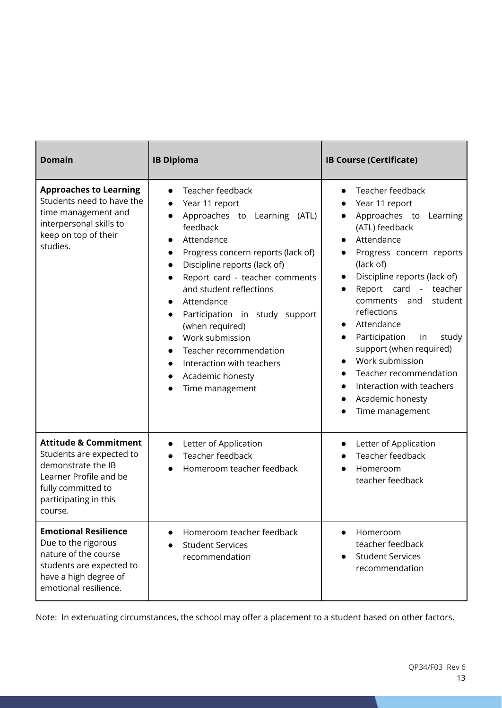| <b>Domain</b>                                                                                                                                                          | <b>IB Diploma</b>                                                                                                                                                                                                                                                                                                                                                                                                                                                                       | <b>IB Course (Certificate)</b>                                                                                                                                                                                                                                                                                                                                                                                                              |
|------------------------------------------------------------------------------------------------------------------------------------------------------------------------|-----------------------------------------------------------------------------------------------------------------------------------------------------------------------------------------------------------------------------------------------------------------------------------------------------------------------------------------------------------------------------------------------------------------------------------------------------------------------------------------|---------------------------------------------------------------------------------------------------------------------------------------------------------------------------------------------------------------------------------------------------------------------------------------------------------------------------------------------------------------------------------------------------------------------------------------------|
| <b>Approaches to Learning</b><br>Students need to have the<br>time management and<br>interpersonal skills to<br>keep on top of their<br>studies.                       | Teacher feedback<br>Year 11 report<br>Approaches to Learning<br>(ATL)<br>feedback<br>Attendance<br>Progress concern reports (lack of)<br>$\bullet$<br>Discipline reports (lack of)<br>Report card - teacher comments<br>$\bullet$<br>and student reflections<br>Attendance<br>$\bullet$<br>Participation in study support<br>$\bullet$<br>(when required)<br>Work submission<br>Teacher recommendation<br>Interaction with teachers<br>$\bullet$<br>Academic honesty<br>Time management | Teacher feedback<br>Year 11 report<br>Approaches to<br>Learning<br>(ATL) feedback<br>Attendance<br>Progress concern reports<br>(lack of)<br>Discipline reports (lack of)<br>Report card -<br>teacher<br>student<br>and<br>comments<br>reflections<br>Attendance<br>Participation<br>study<br>in<br>support (when required)<br>Work submission<br>Teacher recommendation<br>Interaction with teachers<br>Academic honesty<br>Time management |
| <b>Attitude &amp; Commitment</b><br>Students are expected to<br>demonstrate the IB<br>Learner Profile and be<br>fully committed to<br>participating in this<br>course. | Letter of Application<br>$\bullet$<br>Teacher feedback<br>Homeroom teacher feedback                                                                                                                                                                                                                                                                                                                                                                                                     | Letter of Application<br>$\bullet$<br>Teacher feedback<br>Homeroom<br>teacher feedback                                                                                                                                                                                                                                                                                                                                                      |
| <b>Emotional Resilience</b><br>Due to the rigorous<br>nature of the course<br>students are expected to<br>have a high degree of<br>emotional resilience.               | Homeroom teacher feedback<br><b>Student Services</b><br>recommendation                                                                                                                                                                                                                                                                                                                                                                                                                  | Homeroom<br>teacher feedback<br><b>Student Services</b><br>recommendation                                                                                                                                                                                                                                                                                                                                                                   |

Note: In extenuating circumstances, the school may offer a placement to a student based on other factors.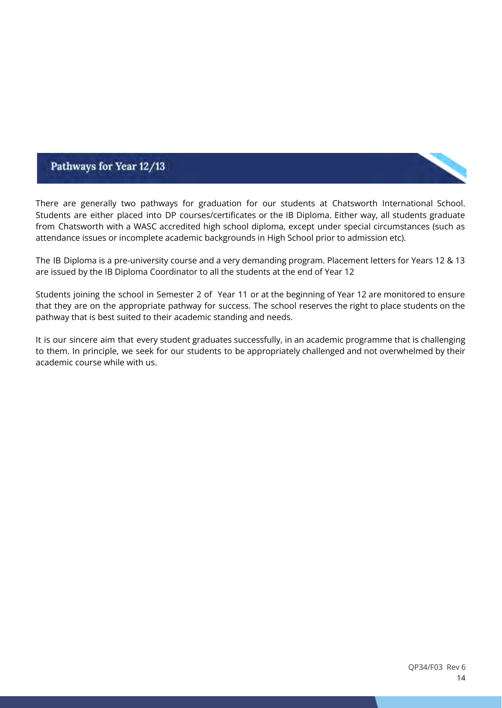# Pathways for Year 12/13

There are generally two pathways for graduation for our students at Chatsworth International School. Students are either placed into DP courses/certificates or the IB Diploma. Either way, all students graduate from Chatsworth with a WASC accredited high school diploma, except under special circumstances (such as attendance issues or incomplete academic backgrounds in High School prior to admission etc).

The IB Diploma is a pre-university course and a very demanding program. Placement letters for Years 12 & 13 are issued by the IB Diploma Coordinator to all the students at the end of Year 12

Students joining the school in Semester 2 of Year 11 or at the beginning of Year 12 are monitored to ensure that they are on the appropriate pathway for success. The school reserves the right to place students on the pathway that is best suited to their academic standing and needs.

It is our sincere aim that every student graduates successfully, in an academic programme that is challenging to them. In principle, we seek for our students to be appropriately challenged and not overwhelmed by their academic course while with us.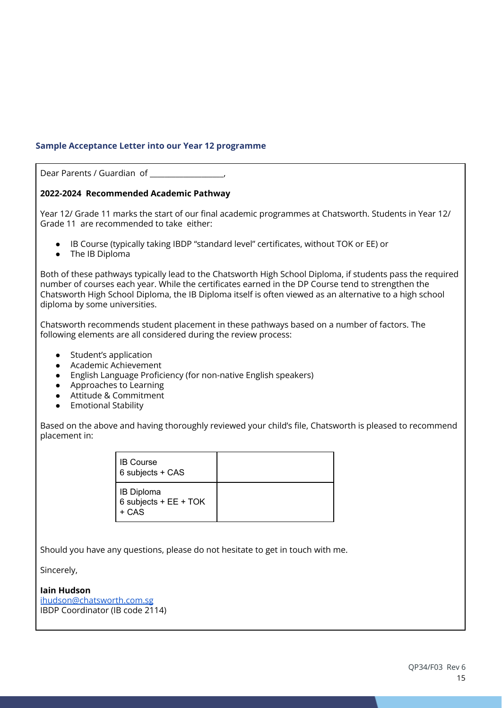## **Sample Acceptance Letter into our Year 12 programme**

Dear Parents / Guardian of \_\_\_\_\_\_\_\_\_\_\_\_\_\_\_\_\_\_\_\_,

## **2022-2024 Recommended Academic Pathway**

Year 12/ Grade 11 marks the start of our final academic programmes at Chatsworth. Students in Year 12/ Grade 11 are recommended to take either:

- IB Course (typically taking IBDP "standard level" certificates, without TOK or EE) or
- The IB Diploma

Both of these pathways typically lead to the Chatsworth High School Diploma, if students pass the required number of courses each year. While the certificates earned in the DP Course tend to strengthen the Chatsworth High School Diploma, the IB Diploma itself is often viewed as an alternative to a high school diploma by some universities.

Chatsworth recommends student placement in these pathways based on a number of factors. The following elements are all considered during the review process:

- Student's application
- Academic Achievement
- English Language Proficiency (for non-native English speakers)
- Approaches to Learning
- Attitude & Commitment
- Emotional Stability

Based on the above and having thoroughly reviewed your child's file, Chatsworth is pleased to recommend placement in:

| <b>IB Course</b><br>6 subjects + CAS                  |  |
|-------------------------------------------------------|--|
| <b>IB Diploma</b><br>$6$ subjects + EE + TOK<br>+ CAS |  |

Should you have any questions, please do not hesitate to get in touch with me.

Sincerely,

### **Iain Hudson**

[ihudson@chatsworth.com.sg](mailto:ihudson@chatsworth.com.sg) IBDP Coordinator (IB code 2114)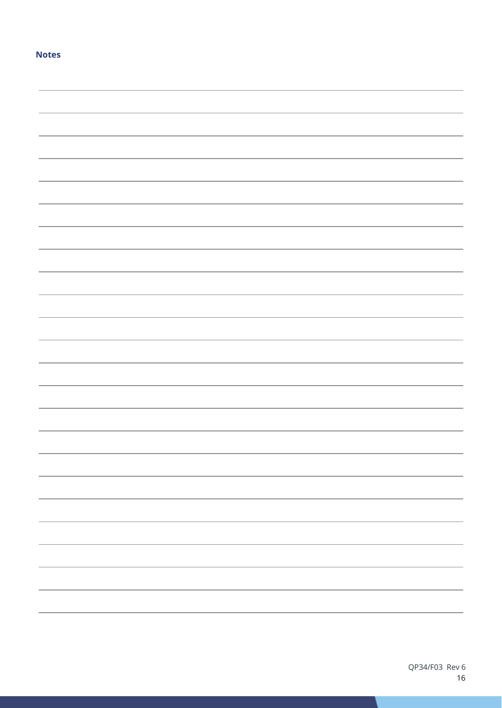### **Notes**

| - |
|---|
|   |
| - |
|   |
|   |
|   |
|   |
|   |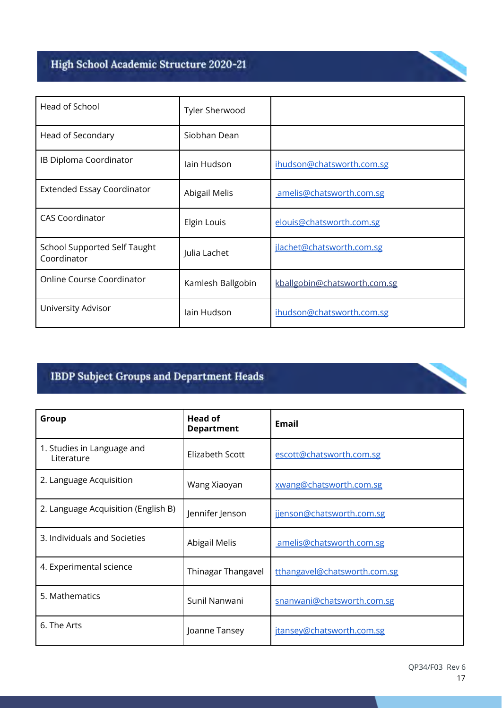# High School Academic Structure 2020-21

| Head of School                                     | Tyler Sherwood    |                              |
|----------------------------------------------------|-------------------|------------------------------|
| Head of Secondary                                  | Siobhan Dean      |                              |
| IB Diploma Coordinator                             | lain Hudson       | ihudson@chatsworth.com.sg    |
| <b>Extended Essay Coordinator</b>                  | Abigail Melis     | amelis@chatsworth.com.sg     |
| <b>CAS Coordinator</b>                             | Elgin Louis       | elouis@chatsworth.com.sg     |
| <b>School Supported Self Taught</b><br>Coordinator | Julia Lachet      | jlachet@chatsworth.com.sg    |
| Online Course Coordinator                          | Kamlesh Ballgobin | kballgobin@chatsworth.com.sg |
| University Advisor                                 | lain Hudson       | ihudson@chatsworth.com.sg    |

# **IBDP Subject Groups and Department Heads**

| Group                                    | Head of<br><b>Department</b> | <b>Email</b>                 |
|------------------------------------------|------------------------------|------------------------------|
| 1. Studies in Language and<br>Literature | Elizabeth Scott              | escott@chatsworth.com.sg     |
| 2. Language Acquisition                  | Wang Xiaoyan                 | xwang@chatsworth.com.sg      |
| 2. Language Acquisition (English B)      | Jennifer Jenson              | jjenson@chatsworth.com.sg    |
| 3. Individuals and Societies             | Abigail Melis                | amelis@chatsworth.com.sg     |
| 4. Experimental science                  | Thinagar Thangavel           | tthangavel@chatsworth.com.sg |
| 5. Mathematics                           | Sunil Nanwani                | snanwani@chatsworth.com.sg   |
| 6. The Arts                              | Joanne Tansey                | jtansey@chatsworth.com.sg    |